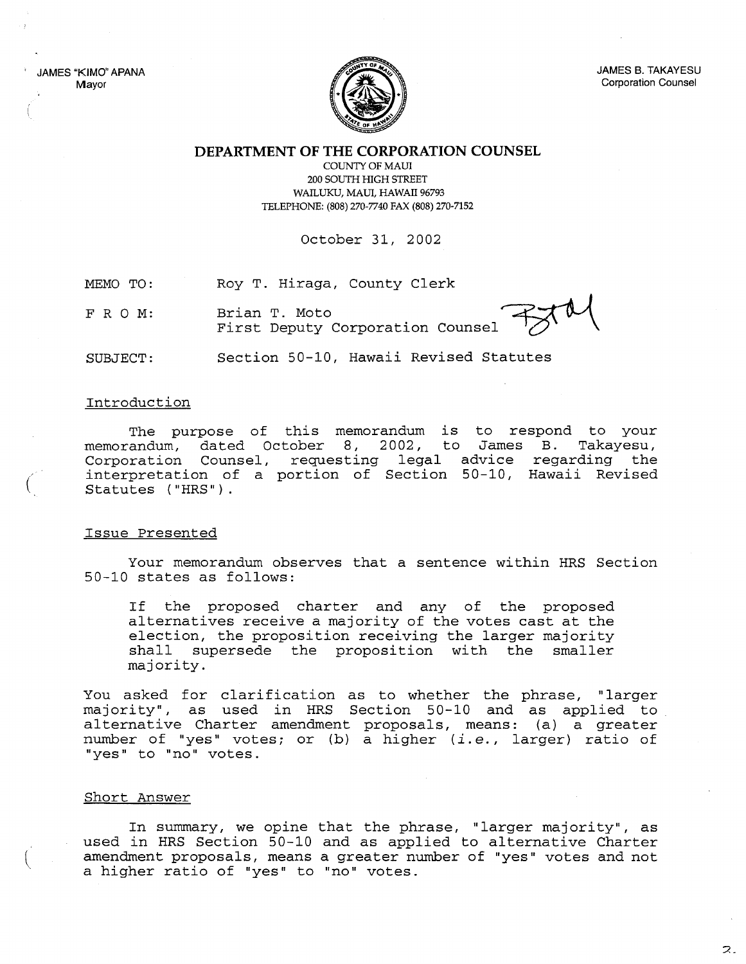JAMES "KIMO" APANA Mayor



JAMES B. TAKAYESU Corporation Counsel

**DEPARTMENT OF THE CORPORATION COUNSEL**

COUNTY OF MAUl 200 SOUTH HIGH STREET WAILUKU, MAUI, HAWAII 96793 TELEPHONE: (808) 270-7740 FAX (808) 270-7152

October 31, 2002

MEMO TO: Roy T. Hiraga, County Clerk

FRO M: Brian T. Moto

Roy T. Hiraga, County Clerk<br>Brian T. Moto<br>First Deputy Corporation Counsel

SUBJECT: Section 50-10, Hawaii Revised Statutes

## Introduction

(

The purpose of this memorandum is to respond to your memorandum, dated October 8, 2002, to James B. Takayesu, Corporation Counsel, requesting legal advice regarding the interpretation of a portion of Section 50-10, Hawaii Revised Statutes ("HRS").

## Issue Presented

Your memorandum observes that a sentence within HRS Section 50-10 states as follows:

If the proposed charter and any of the proposed alternatives receive <sup>a</sup> majority of the votes cast at the election, the proposition receiving the larger majority<br>shall supersede the proposition with the smaller shall supersede the proposition with the majority.

You asked for clarification as to whether the phrase, "larger majority", as used in HRS Section 50-10 and as applied to alternative Charter amendment proposals, means: (a) a greater number of "yes" votes; or (b) <sup>a</sup> higher *(i.e.,* larger) ratio of "yes" to "no" votes.

## Short Answer

In summary, we opine that the phrase, "larger majority", as used in HRS Section 50-10 and as applied to alternative Charter amendment proposals, means a greater number of "yes" votes and not a higher ratio of "yes" to "no" votes.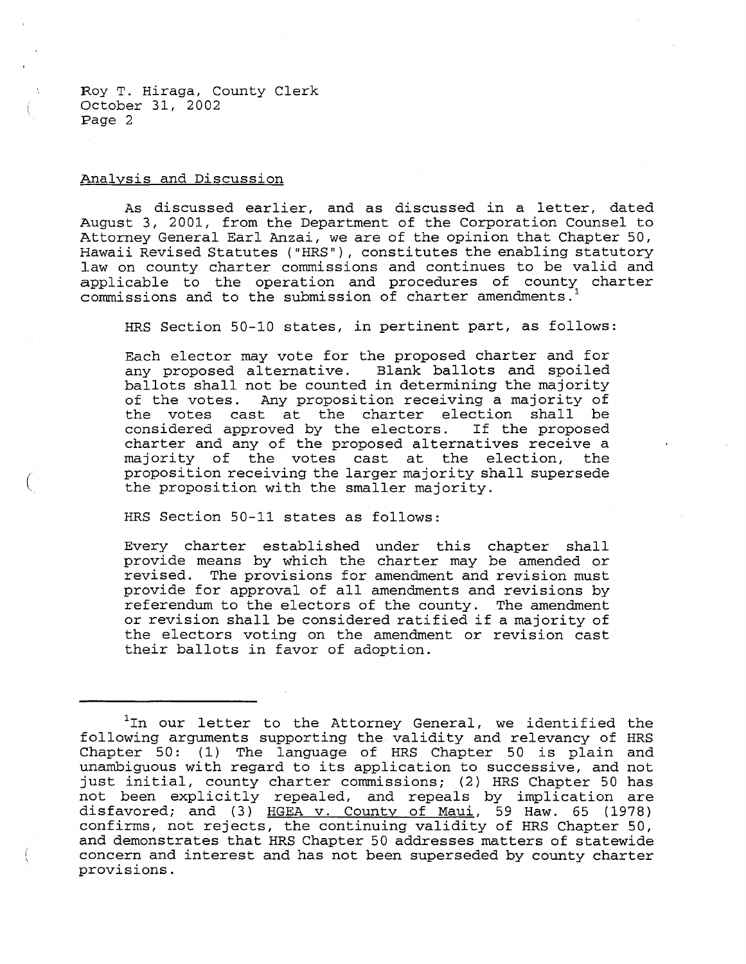Roy T. Hiraga, County Clerk October 31, 2002 Page 2

## Analysis and Discussion

(

As discussed earlier, and as discussed in <sup>a</sup> letter, dated August 3, 2001, from the Department of the Corporation Counsel to Attorney General Earl Anzai, we are of the opinion that Chapter 50, Hawaii Revised Statutes ("HRS"), constitutes the enabling statutory law on county charter commissions and continues to be valid and applicable to the operation and procedures of county charter commissions and to the submission of charter amendments.

HRS Section 50-10 states, in pertinent part, as follows:

Each elector may vote for the proposed charter and for any proposed alternative. Blank ballots and spoiled ballots shall not be counted in determining the majority of the votes. Any proposition receiving a majority of the votes cast at the charter election shall be considered approved by the electors. If the proposed considered approved by the electors. charter and any of the proposed alternatives receive a majority of the votes cast at the election, the proposition receiving the larger majority shall supersede the proposition with the smaller majority.

HRS Section 50-11 states as follows:

Every charter established under this chapter shall provide means by which the charter may be amended or revised. The provisions for amendment and revision must provide for approval of all amendments and revisions by referendum to the electors of the county. The amendment or revision shall be considered ratified if <sup>a</sup> majority of the electors voting on the amendment or revision cast their ballots in favor of adoption.

<sup>&</sup>lt;sup>1</sup>In our letter to the Attorney General, we identified the following arguments supporting the validity and relevancy of HRS Chapter 50: (1) The language of HRS Chapter 50 is plain and unambiguous with regard to its application to successive, and not just initial, county charter commissions; (2) HRS Chapter <sup>50</sup> has not been explicitly repealed, and repeals by implication are disfavored; and (3) HGEA v. County of Maui, 59 Haw. 65 (1978) confirms, not rejects, the continuing validity of HRS Chapter 50, and demonstrates that HRS Chapter 50 addresses matters of statewide concern and interest and has not been superseded by county charter provisions.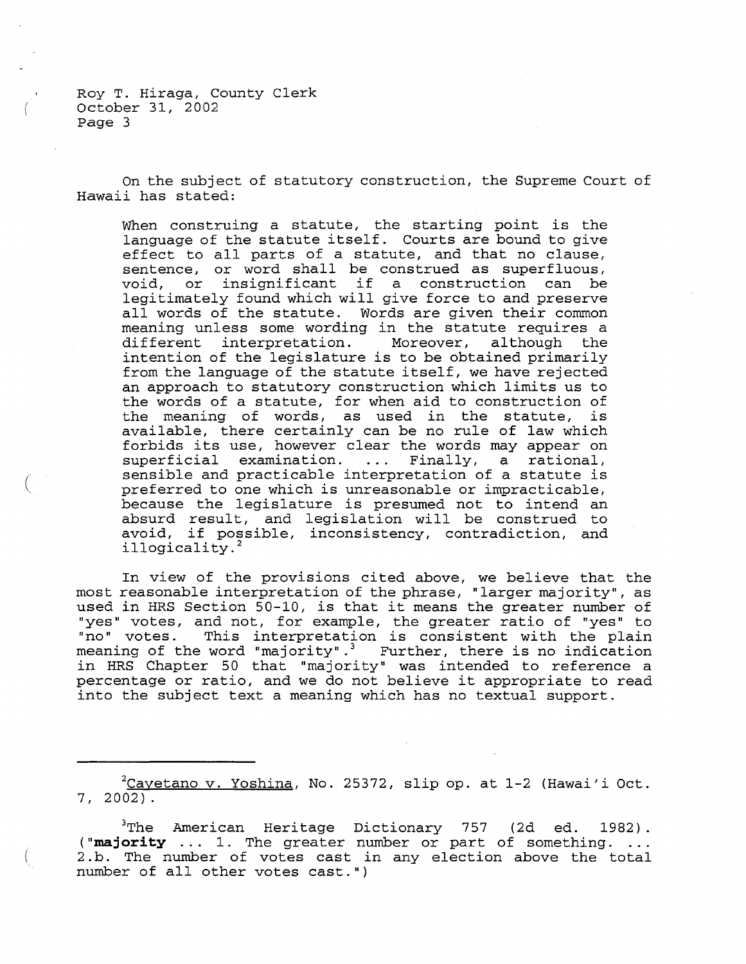Roy T. Hiraga, County Clerk October 31, 2002 page 3

(

On the subject of statutory construction, the Supreme Court of Hawaii has stated:

When construing <sup>a</sup> statute, the starting point is the language of the statute itself. Courts are bound to give effect to all parts of <sup>a</sup> statute, and that no clause, sentence, or word shall be construed as superfluous, sentence, of word shart be construed as superfruous,<br>void, or insignificant if a construction can be legitimately found which will give force to and preserve all words of the statute. Words are given their common meaning unless some wording in the statute requires a<br>different interpretation. Moreover, although the different interpretation. Moreover, although the intention of the legislature is to be obtained primarily from the language of the statute itself, we have rejected an approach to statutory construction which limits us to the words of a statute, for when aid to construction of the words of a statuce, for when and to construction of<br>the meaning of words, as used in the statute, is available, there certainly can be no rule of law which forbids its use, however clear the words may appear on superficial examination. ... Finally, a rational, sensible and practicable interpretation of <sup>a</sup> statute is preferred to one which is unreasonable or impracticable, because the legislature is presumed not to intend an absurd result, and legislation will be construed to avoid, if possible, inconsistency, contradiction, and illogicality.<sup>2</sup>

In view of the provisions cited above, we believe that the most reasonable interpretation of the phrase, "larger majority", as used in HRS Section 50-10, is that it means the greater number of "yes" votes, and not, for example, the greater ratio of "yes" to The votes, and not, for thanged, the greater ratio of yes to meaning of the word "majority".<sup>3</sup> Further, there is no indication in HRS Chapter 50 that "majority" was intended to reference <sup>a</sup> percentage or ratio, and we do not believe it appropriate to read into the subject text a meaning which has no textual support.

 $^{2}$ Cayetano v. Yoshina, No. 25372, slip op. at 1-2 (Hawai'i Oct. 7,2002).

 $3$ The American Heritage Dictionary 757 (2d ed. 1982). **("majority** ... 1. The greater number or part of something. 2. b. The number of votes cast in any election above the total number of all other votes cast.")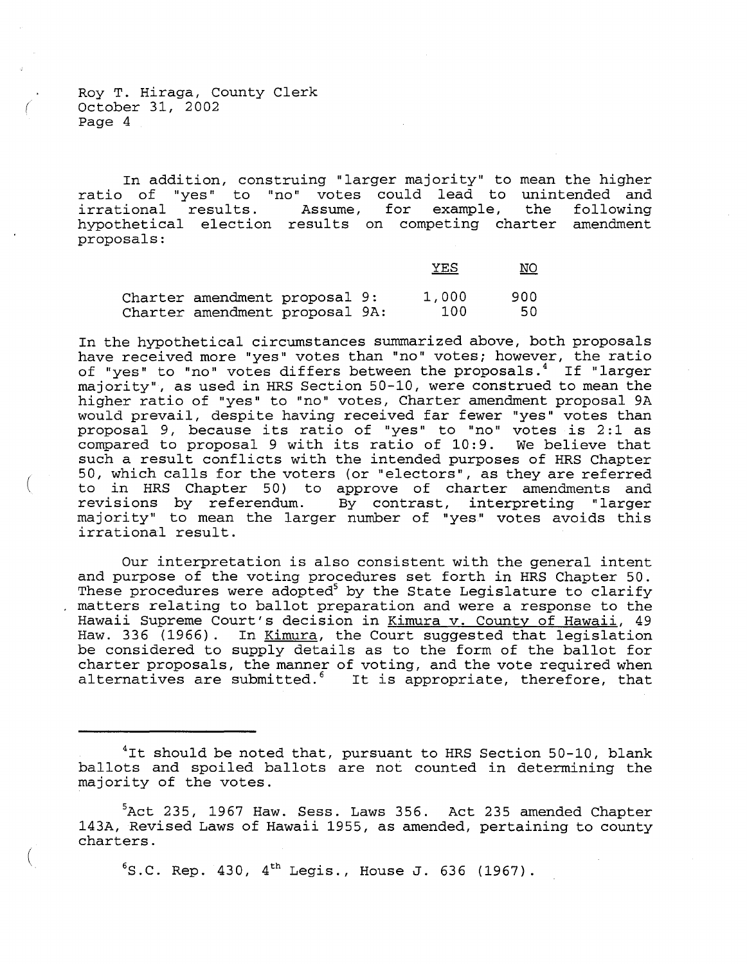Roy T. Hiraga, County Clerk ( October 31, 2002 Page 4

(

(

In addition, construing "larger majority" to mean the higher ratio of "yes" to "no" votes could lead to unintended and<br>irrational results. Assume, for example, the following irrational results. Assume, for hypothetical election results on competing charter amendment proposals:

|                                                                 |  | <u>YES</u>   | <u>NO</u>   |
|-----------------------------------------------------------------|--|--------------|-------------|
| Charter amendment proposal 9:<br>Charter amendment proposal 9A: |  | 1,000<br>100 | 900<br>-50- |

In the hypothetical circumstances summarized above, both proposals have received more "yes" votes than "no" votes; however, the ratio of "yes" to "no" votes differs between the proposals.<sup>4</sup> If "larger majority", as used in HRS Section 50-10, were construed to mean the higher ratio of "yes" to "no" votes, Charter amendment proposal 9A would prevail, despite having received far fewer "yes" votes than would prevail, despice having received far rewer yes votes change proposal *5*, because its facto of yes to no votes is 2.1 as<br>compared to proposal 9 with its ratio of 10:9. We believe that such <sup>a</sup> result conflicts with the intended purposes of HRS Chapter 50, which calls for the voters (or "electors", as they are referred to in HRS Chapter 50) to approve of charter amendments and revisions by referendum. By contrast, interpreting "larger majority" to mean the larger number of "yes" votes avoids this irrational result.

Our interpretation is also consistent with the general intent and purpose of the voting procedures set forth in HRS Chapter 50. These procedures were adopted<sup>5</sup> by the State Legislature to clarify matters relating to ballot preparation and were <sup>a</sup> response to the Hawaii Supreme Court's decision in Kimura v. County of Hawaii, 49 Haw. 336 (1966). In Kimura, the Court suggested that legislation Is the second term of the comparation of the ballot for the considered to supply details as to the form of the ballot for charter proposals, the manner of voting, and the vote required when alternatives are submitted.<sup>6</sup> It is appropriate, therefore, that

 $6$ S.C. Rep. 430, 4<sup>th</sup> Legis., House J. 636 (1967).

 $4$ It should be noted that, pursuant to HRS Section 50-10, blank ballots and spoiled ballots are not counted in determining the majority of the votes.

 $5$ Act 235, 1967 Haw. Sess. Laws 356. Act 235 amended Chapter 143A, Revised Laws of Hawaii 1955, as amended, pertaining to county charters.